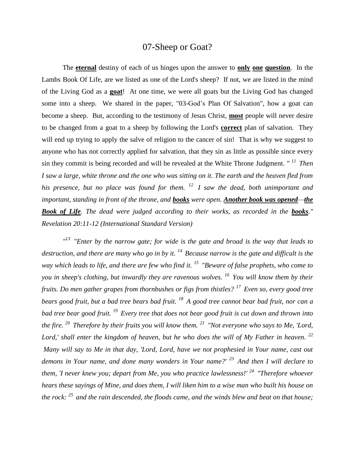## 07-Sheep or Goat?

The **eternal** destiny of each of us hinges upon the answer to **only one question**. In the Lambs Book Of Life, are we listed as one of the Lord's sheep? If not, we are listed in the mind of the Living God as a **goat**! At one time, we were all goats but the Living God has changed some into a sheep. We shared in the paper, "03-God's Plan Of Salvation", how a goat can become a sheep. But, according to the testimony of Jesus Christ, **most** people will never desire to be changed from a goat to a sheep by following the Lord's **correct** plan of salvation. They will end up trying to apply the salve of religion to the cancer of sin! That is why we suggest to anyone who has not correctly applied for salvation, that they sin as little as possible since every sin they commit is being recorded and will be revealed at the White Throne Judgment. *" <sup>11</sup>Then I saw a large, white throne and the one who was sitting on it. The earth and the heaven fled from his presence, but no place was found for them. <sup>12</sup>I saw the dead, both unimportant and important, standing in front of the throne, and books were open. Another book was opened—the Book of Life. The dead were judged according to their works, as recorded in the books." Revelation 20:11-12 (International Standard Version)*

*" <sup>13</sup>"Enter by the narrow gate; for wide is the gate and broad is the way that leads to destruction, and there are many who go in by it. <sup>14</sup>Because narrow is the gate and difficult is the way which leads to life, and there are few who find it. <sup>15</sup>"Beware of false prophets, who come to you in sheep's clothing, but inwardly they are ravenous wolves. <sup>16</sup>You will know them by their fruits. Do men gather grapes from thornbushes or figs from thistles? <sup>17</sup>Even so, every good tree bears good fruit, but a bad tree bears bad fruit. <sup>18</sup>A good tree cannot bear bad fruit, nor can a bad tree bear good fruit. <sup>19</sup>Every tree that does not bear good fruit is cut down and thrown into the fire. <sup>20</sup>Therefore by their fruits you will know them. <sup>21</sup>"Not everyone who says to Me, 'Lord, Lord,' shall enter the kingdom of heaven, but he who does the will of My Father in heaven. <sup>22</sup> Many will say to Me in that day, 'Lord, Lord, have we not prophesied in Your name, cast out demons in Your name, and done many wonders in Your name?' <sup>23</sup>And then I will declare to them, 'I never knew you; depart from Me, you who practice lawlessness!' <sup>24</sup>"Therefore whoever hears these sayings of Mine, and does them, I will liken him to a wise man who built his house on the rock: <sup>25</sup>and the rain descended, the floods came, and the winds blew and beat on that house;*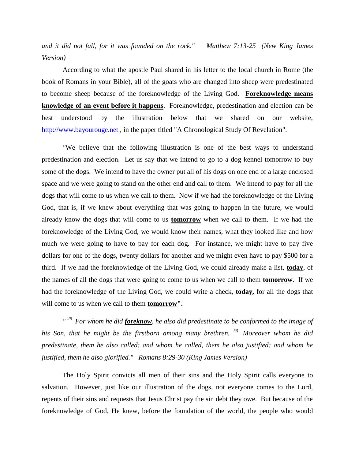*and it did not fall, for it was founded on the rock." Matthew 7:13-25 (New King James Version)* 

According to what the apostle Paul shared in his letter to the local church in Rome (the book of Romans in your Bible), all of the goats who are changed into sheep were predestinated to become sheep because of the foreknowledge of the Living God. **Foreknowledge means [knowledge](https://dictionary.cambridge.org/us/dictionary/english/knowledge) of an [event](https://dictionary.cambridge.org/us/dictionary/english/event) before it [happens](https://dictionary.cambridge.org/us/dictionary/english/happen)**.Foreknowledge, predestination and election can be best understood by the illustration below that we shared on our website, [http://www.bayourouge.net](http://www.bayourouge.net/), in the paper titled "A Chronological Study Of Revelation".

*"*We believe that the following illustration is one of the best ways to understand predestination and election. Let us say that we intend to go to a dog kennel tomorrow to buy some of the dogs. We intend to have the owner put all of his dogs on one end of a large enclosed space and we were going to stand on the other end and call to them. We intend to pay for all the dogs that will come to us when we call to them. Now if we had the foreknowledge of the Living God, that is, if we knew about everything that was going to happen in the future, we would already know the dogs that will come to us **tomorrow** when we call to them. If we had the foreknowledge of the Living God, we would know their names, what they looked like and how much we were going to have to pay for each dog. For instance, we might have to pay five dollars for one of the dogs, twenty dollars for another and we might even have to pay \$500 for a third. If we had the foreknowledge of the Living God, we could already make a list, **today**, of the names of all the dogs that were going to come to us when we call to them **tomorrow**. If we had the foreknowledge of the Living God, we could write a check, **today,** for all the dogs that will come to us when we call to them **tomorrow".**

*" <sup>29</sup>For whom he did foreknow, he also did predestinate to be conformed to the image of his Son, that he might be the firstborn among many brethren. <sup>30</sup>Moreover whom he did predestinate, them he also called: and whom he called, them he also justified: and whom he justified, them he also glorified." Romans 8:29-30 (King James Version)* 

The Holy Spirit convicts all men of their sins and the Holy Spirit calls everyone to salvation. However, just like our illustration of the dogs, not everyone comes to the Lord, repents of their sins and requests that Jesus Christ pay the sin debt they owe. But because of the foreknowledge of God, He knew, before the foundation of the world, the people who would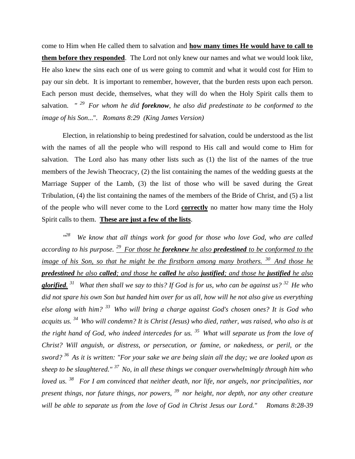come to Him when He called them to salvation and **how many times He would have to call to them before they responded**. The Lord not only knew our names and what we would look like, He also knew the sins each one of us were going to commit and what it would cost for Him to pay our sin debt. It is important to remember, however, that the burden rests upon each person. Each person must decide, themselves, what they will do when the Holy Spirit calls them to salvation. *" <sup>29</sup>For whom he did foreknow, he also did predestinate to be conformed to the image of his Son*...". *Romans 8:29 (King James Version)* 

Election, in relationship to being predestined for salvation, could be understood as the list with the names of all the people who will respond to His call and would come to Him for salvation. The Lord also has many other lists such as (1) the list of the names of the true members of the Jewish Theocracy, (2) the list containing the names of the wedding guests at the Marriage Supper of the Lamb, (3) the list of those who will be saved during the Great Tribulation, (4) the list containing the names of the members of the Bride of Christ, and (5) a list of the people who will never come to the Lord **correctly** no matter how many time the Holy Spirit calls to them. **These are just a few of the lists**.

 $n28$ *<sup>28</sup>We know that all things work for good for those who love God, who are called according to his purpose. <sup>29</sup>For those he foreknew he also predestined to be conformed to the image of his Son, so that he might be the firstborn among many brothers. <sup>30</sup>And those he predestined he also called; and those he called he also justified; and those he justified he also glorified. <sup>31</sup>What then shall we say to this? If God is for us, who can be against us? <sup>32</sup>He who did not spare his own Son but handed him over for us all, how will he not also give us everything else along with him? <sup>33</sup>Who will bring a charge against God's chosen ones? It is God who acquits us. <sup>34</sup>Who will condemn? It is Christ (Jesus) who died, rather, was raised, who also is at the right hand of God, who indeed intercedes for us. <sup>35</sup>What will separate us from the love of Christ? Will anguish, or distress, or persecution, or famine, or nakedness, or peril, or the sword? <sup>36</sup>As it is written: "For your sake we are being slain all the day; we are looked upon as sheep to be slaughtered." <sup>37</sup>No, in all these things we conquer overwhelmingly through him who loved us. <sup>38</sup>For I am convinced that neither death, nor life, nor angels, nor principalities, nor present things, nor future things, nor powers, <sup>39</sup>nor height, nor depth, nor any other creature will be able to separate us from the love of God in Christ Jesus our Lord." Romans 8:28-39*